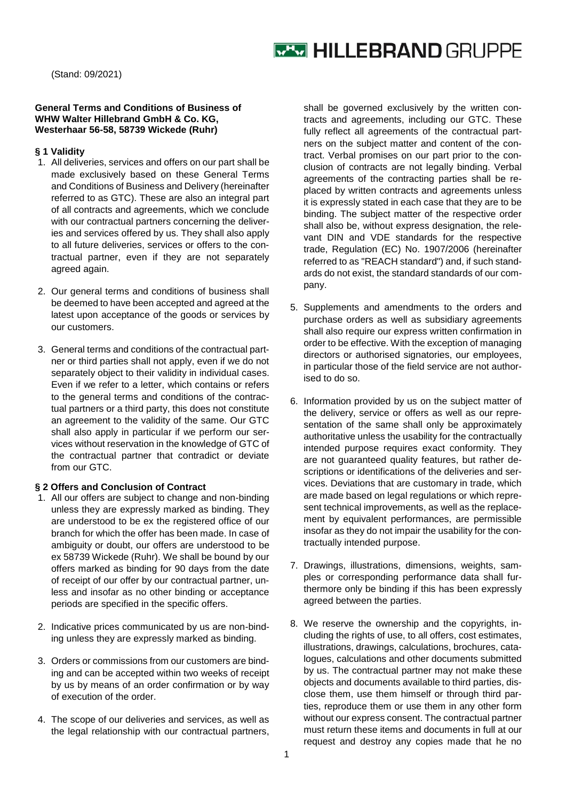# **WEW HILLEBRAND GRUPPE**

(Stand: 09/2021)

## **General Terms and Conditions of Business of WHW Walter Hillebrand GmbH & Co. KG, Westerhaar 56-58, 58739 Wickede (Ruhr)**

### **§ 1 Validity**

- 1. All deliveries, services and offers on our part shall be made exclusively based on these General Terms and Conditions of Business and Delivery (hereinafter referred to as GTC). These are also an integral part of all contracts and agreements, which we conclude with our contractual partners concerning the deliveries and services offered by us. They shall also apply to all future deliveries, services or offers to the contractual partner, even if they are not separately agreed again.
- 2. Our general terms and conditions of business shall be deemed to have been accepted and agreed at the latest upon acceptance of the goods or services by our customers.
- 3. General terms and conditions of the contractual partner or third parties shall not apply, even if we do not separately object to their validity in individual cases. Even if we refer to a letter, which contains or refers to the general terms and conditions of the contractual partners or a third party, this does not constitute an agreement to the validity of the same. Our GTC shall also apply in particular if we perform our services without reservation in the knowledge of GTC of the contractual partner that contradict or deviate from our GTC.

# **§ 2 Offers and Conclusion of Contract**

- 1. All our offers are subject to change and non-binding unless they are expressly marked as binding. They are understood to be ex the registered office of our branch for which the offer has been made. In case of ambiguity or doubt, our offers are understood to be ex 58739 Wickede (Ruhr). We shall be bound by our offers marked as binding for 90 days from the date of receipt of our offer by our contractual partner, unless and insofar as no other binding or acceptance periods are specified in the specific offers.
- 2. Indicative prices communicated by us are non-binding unless they are expressly marked as binding.
- 3. Orders or commissions from our customers are binding and can be accepted within two weeks of receipt by us by means of an order confirmation or by way of execution of the order.
- 4. The scope of our deliveries and services, as well as the legal relationship with our contractual partners,

shall be governed exclusively by the written contracts and agreements, including our GTC. These fully reflect all agreements of the contractual partners on the subject matter and content of the contract. Verbal promises on our part prior to the conclusion of contracts are not legally binding. Verbal agreements of the contracting parties shall be replaced by written contracts and agreements unless it is expressly stated in each case that they are to be binding. The subject matter of the respective order shall also be, without express designation, the relevant DIN and VDE standards for the respective trade, Regulation (EC) No. 1907/2006 (hereinafter referred to as "REACH standard") and, if such standards do not exist, the standard standards of our company.

- 5. Supplements and amendments to the orders and purchase orders as well as subsidiary agreements shall also require our express written confirmation in order to be effective. With the exception of managing directors or authorised signatories, our employees, in particular those of the field service are not authorised to do so.
- 6. Information provided by us on the subject matter of the delivery, service or offers as well as our representation of the same shall only be approximately authoritative unless the usability for the contractually intended purpose requires exact conformity. They are not guaranteed quality features, but rather descriptions or identifications of the deliveries and services. Deviations that are customary in trade, which are made based on legal regulations or which represent technical improvements, as well as the replacement by equivalent performances, are permissible insofar as they do not impair the usability for the contractually intended purpose.
- 7. Drawings, illustrations, dimensions, weights, samples or corresponding performance data shall furthermore only be binding if this has been expressly agreed between the parties.
- 8. We reserve the ownership and the copyrights, including the rights of use, to all offers, cost estimates, illustrations, drawings, calculations, brochures, catalogues, calculations and other documents submitted by us. The contractual partner may not make these objects and documents available to third parties, disclose them, use them himself or through third parties, reproduce them or use them in any other form without our express consent. The contractual partner must return these items and documents in full at our request and destroy any copies made that he no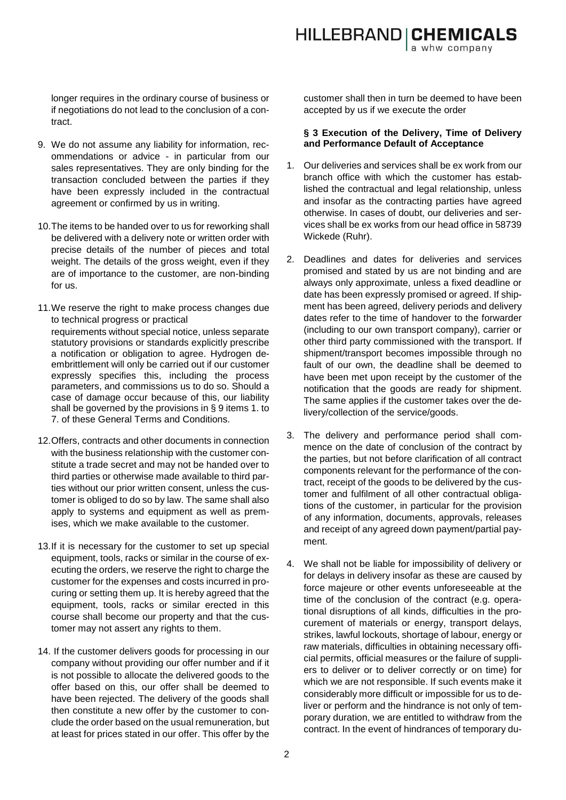longer requires in the ordinary course of business or if negotiations do not lead to the conclusion of a contract.

- 9. We do not assume any liability for information, recommendations or advice - in particular from our sales representatives. They are only binding for the transaction concluded between the parties if they have been expressly included in the contractual agreement or confirmed by us in writing.
- 10.The items to be handed over to us for reworking shall be delivered with a delivery note or written order with precise details of the number of pieces and total weight. The details of the gross weight, even if they are of importance to the customer, are non-binding for us.
- 11.We reserve the right to make process changes due to technical progress or practical requirements without special notice, unless separate statutory provisions or standards explicitly prescribe a notification or obligation to agree. Hydrogen deembrittlement will only be carried out if our customer expressly specifies this, including the process parameters, and commissions us to do so. Should a case of damage occur because of this, our liability shall be governed by the provisions in § 9 items 1. to 7. of these General Terms and Conditions.
- 12.Offers, contracts and other documents in connection with the business relationship with the customer constitute a trade secret and may not be handed over to third parties or otherwise made available to third parties without our prior written consent, unless the customer is obliged to do so by law. The same shall also apply to systems and equipment as well as premises, which we make available to the customer.
- 13.If it is necessary for the customer to set up special equipment, tools, racks or similar in the course of executing the orders, we reserve the right to charge the customer for the expenses and costs incurred in procuring or setting them up. It is hereby agreed that the equipment, tools, racks or similar erected in this course shall become our property and that the customer may not assert any rights to them.
- 14. If the customer delivers goods for processing in our company without providing our offer number and if it is not possible to allocate the delivered goods to the offer based on this, our offer shall be deemed to have been rejected. The delivery of the goods shall then constitute a new offer by the customer to conclude the order based on the usual remuneration, but at least for prices stated in our offer. This offer by the

customer shall then in turn be deemed to have been accepted by us if we execute the order

## **§ 3 Execution of the Delivery, Time of Delivery and Performance Default of Acceptance**

- 1. Our deliveries and services shall be ex work from our branch office with which the customer has established the contractual and legal relationship, unless and insofar as the contracting parties have agreed otherwise. In cases of doubt, our deliveries and services shall be ex works from our head office in 58739 Wickede (Ruhr).
- 2. Deadlines and dates for deliveries and services promised and stated by us are not binding and are always only approximate, unless a fixed deadline or date has been expressly promised or agreed. If shipment has been agreed, delivery periods and delivery dates refer to the time of handover to the forwarder (including to our own transport company), carrier or other third party commissioned with the transport. If shipment/transport becomes impossible through no fault of our own, the deadline shall be deemed to have been met upon receipt by the customer of the notification that the goods are ready for shipment. The same applies if the customer takes over the delivery/collection of the service/goods.
- 3. The delivery and performance period shall commence on the date of conclusion of the contract by the parties, but not before clarification of all contract components relevant for the performance of the contract, receipt of the goods to be delivered by the customer and fulfilment of all other contractual obligations of the customer, in particular for the provision of any information, documents, approvals, releases and receipt of any agreed down payment/partial payment.
- 4. We shall not be liable for impossibility of delivery or for delays in delivery insofar as these are caused by force majeure or other events unforeseeable at the time of the conclusion of the contract (e.g. operational disruptions of all kinds, difficulties in the procurement of materials or energy, transport delays, strikes, lawful lockouts, shortage of labour, energy or raw materials, difficulties in obtaining necessary official permits, official measures or the failure of suppliers to deliver or to deliver correctly or on time) for which we are not responsible. If such events make it considerably more difficult or impossible for us to deliver or perform and the hindrance is not only of temporary duration, we are entitled to withdraw from the contract. In the event of hindrances of temporary du-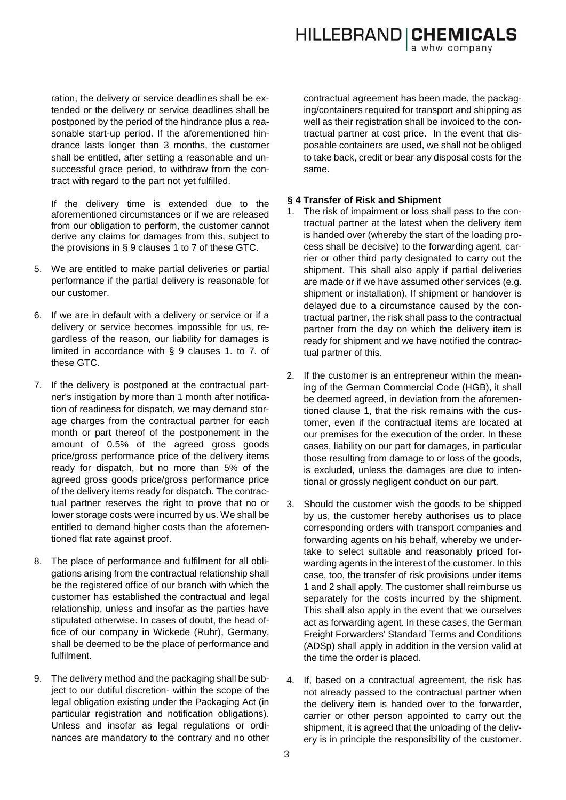ration, the delivery or service deadlines shall be extended or the delivery or service deadlines shall be postponed by the period of the hindrance plus a reasonable start-up period. If the aforementioned hindrance lasts longer than 3 months, the customer shall be entitled, after setting a reasonable and unsuccessful grace period, to withdraw from the contract with regard to the part not yet fulfilled.

If the delivery time is extended due to the aforementioned circumstances or if we are released from our obligation to perform, the customer cannot derive any claims for damages from this, subject to the provisions in § 9 clauses 1 to 7 of these GTC.

- 5. We are entitled to make partial deliveries or partial performance if the partial delivery is reasonable for our customer.
- 6. If we are in default with a delivery or service or if a delivery or service becomes impossible for us, regardless of the reason, our liability for damages is limited in accordance with § 9 clauses 1. to 7. of these GTC.
- 7. If the delivery is postponed at the contractual partner's instigation by more than 1 month after notification of readiness for dispatch, we may demand storage charges from the contractual partner for each month or part thereof of the postponement in the amount of 0.5% of the agreed gross goods price/gross performance price of the delivery items ready for dispatch, but no more than 5% of the agreed gross goods price/gross performance price of the delivery items ready for dispatch. The contractual partner reserves the right to prove that no or lower storage costs were incurred by us. We shall be entitled to demand higher costs than the aforementioned flat rate against proof.
- 8. The place of performance and fulfilment for all obligations arising from the contractual relationship shall be the registered office of our branch with which the customer has established the contractual and legal relationship, unless and insofar as the parties have stipulated otherwise. In cases of doubt, the head office of our company in Wickede (Ruhr), Germany, shall be deemed to be the place of performance and fulfilment.
- 9. The delivery method and the packaging shall be subject to our dutiful discretion- within the scope of the legal obligation existing under the Packaging Act (in particular registration and notification obligations). Unless and insofar as legal regulations or ordinances are mandatory to the contrary and no other

contractual agreement has been made, the packaging/containers required for transport and shipping as well as their registration shall be invoiced to the contractual partner at cost price. In the event that disposable containers are used, we shall not be obliged to take back, credit or bear any disposal costs for the same.

## **§ 4 Transfer of Risk and Shipment**

- The risk of impairment or loss shall pass to the contractual partner at the latest when the delivery item is handed over (whereby the start of the loading process shall be decisive) to the forwarding agent, carrier or other third party designated to carry out the shipment. This shall also apply if partial deliveries are made or if we have assumed other services (e.g. shipment or installation). If shipment or handover is delayed due to a circumstance caused by the contractual partner, the risk shall pass to the contractual partner from the day on which the delivery item is ready for shipment and we have notified the contractual partner of this.
- 2. If the customer is an entrepreneur within the meaning of the German Commercial Code (HGB), it shall be deemed agreed, in deviation from the aforementioned clause 1, that the risk remains with the customer, even if the contractual items are located at our premises for the execution of the order. In these cases, liability on our part for damages, in particular those resulting from damage to or loss of the goods, is excluded, unless the damages are due to intentional or grossly negligent conduct on our part.
- 3. Should the customer wish the goods to be shipped by us, the customer hereby authorises us to place corresponding orders with transport companies and forwarding agents on his behalf, whereby we undertake to select suitable and reasonably priced forwarding agents in the interest of the customer. In this case, too, the transfer of risk provisions under items 1 and 2 shall apply. The customer shall reimburse us separately for the costs incurred by the shipment. This shall also apply in the event that we ourselves act as forwarding agent. In these cases, the German Freight Forwarders' Standard Terms and Conditions (ADSp) shall apply in addition in the version valid at the time the order is placed.
- 4. If, based on a contractual agreement, the risk has not already passed to the contractual partner when the delivery item is handed over to the forwarder, carrier or other person appointed to carry out the shipment, it is agreed that the unloading of the delivery is in principle the responsibility of the customer.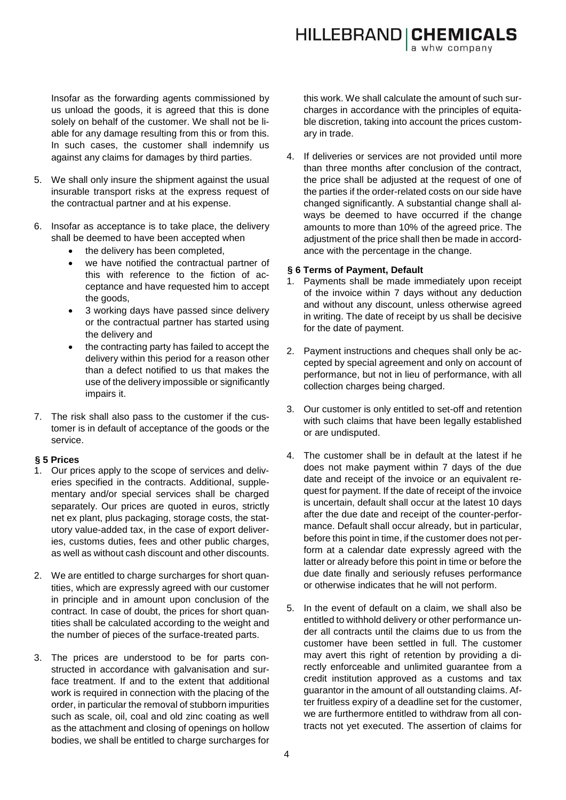Insofar as the forwarding agents commissioned by us unload the goods, it is agreed that this is done solely on behalf of the customer. We shall not be liable for any damage resulting from this or from this. In such cases, the customer shall indemnify us against any claims for damages by third parties.

- 5. We shall only insure the shipment against the usual insurable transport risks at the express request of the contractual partner and at his expense.
- 6. Insofar as acceptance is to take place, the delivery shall be deemed to have been accepted when
	- the delivery has been completed,
	- we have notified the contractual partner of this with reference to the fiction of acceptance and have requested him to accept the goods,
	- 3 working days have passed since delivery or the contractual partner has started using the delivery and
	- the contracting party has failed to accept the delivery within this period for a reason other than a defect notified to us that makes the use of the delivery impossible or significantly impairs it.
- 7. The risk shall also pass to the customer if the customer is in default of acceptance of the goods or the service.

# **§ 5 Prices**

- 1. Our prices apply to the scope of services and deliveries specified in the contracts. Additional, supplementary and/or special services shall be charged separately. Our prices are quoted in euros, strictly net ex plant, plus packaging, storage costs, the statutory value-added tax, in the case of export deliveries, customs duties, fees and other public charges, as well as without cash discount and other discounts.
- 2. We are entitled to charge surcharges for short quantities, which are expressly agreed with our customer in principle and in amount upon conclusion of the contract. In case of doubt, the prices for short quantities shall be calculated according to the weight and the number of pieces of the surface-treated parts.
- 3. The prices are understood to be for parts constructed in accordance with galvanisation and surface treatment. If and to the extent that additional work is required in connection with the placing of the order, in particular the removal of stubborn impurities such as scale, oil, coal and old zinc coating as well as the attachment and closing of openings on hollow bodies, we shall be entitled to charge surcharges for

this work. We shall calculate the amount of such surcharges in accordance with the principles of equitable discretion, taking into account the prices customary in trade.

4. If deliveries or services are not provided until more than three months after conclusion of the contract, the price shall be adjusted at the request of one of the parties if the order-related costs on our side have changed significantly. A substantial change shall always be deemed to have occurred if the change amounts to more than 10% of the agreed price. The adjustment of the price shall then be made in accordance with the percentage in the change.

## **§ 6 Terms of Payment, Default**

- 1. Payments shall be made immediately upon receipt of the invoice within 7 days without any deduction and without any discount, unless otherwise agreed in writing. The date of receipt by us shall be decisive for the date of payment.
- 2. Payment instructions and cheques shall only be accepted by special agreement and only on account of performance, but not in lieu of performance, with all collection charges being charged.
- 3. Our customer is only entitled to set-off and retention with such claims that have been legally established or are undisputed.
- 4. The customer shall be in default at the latest if he does not make payment within 7 days of the due date and receipt of the invoice or an equivalent request for payment. If the date of receipt of the invoice is uncertain, default shall occur at the latest 10 days after the due date and receipt of the counter-performance. Default shall occur already, but in particular, before this point in time, if the customer does not perform at a calendar date expressly agreed with the latter or already before this point in time or before the due date finally and seriously refuses performance or otherwise indicates that he will not perform.
- 5. In the event of default on a claim, we shall also be entitled to withhold delivery or other performance under all contracts until the claims due to us from the customer have been settled in full. The customer may avert this right of retention by providing a directly enforceable and unlimited guarantee from a credit institution approved as a customs and tax guarantor in the amount of all outstanding claims. After fruitless expiry of a deadline set for the customer, we are furthermore entitled to withdraw from all contracts not yet executed. The assertion of claims for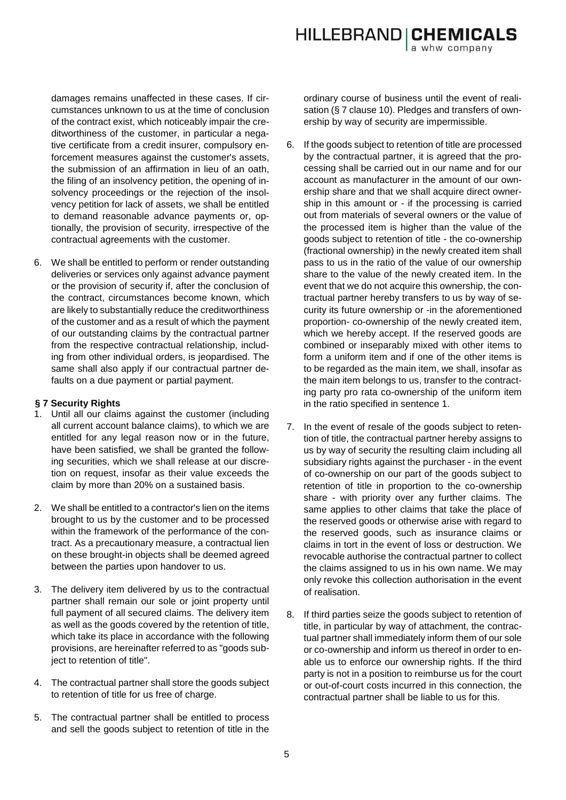damages remains unaffected in these cases. If circumstances unknown to us at the time of conclusion of the contract exist, which noticeably impair the creditworthiness of the customer, in particular a negative certificate from a credit insurer, compulsory enforcement measures against the customer's assets, the submission of an affirmation in lieu of an oath, the filing of an insolvency petition, the opening of insolvency proceedings or the rejection of the insolvency petition for lack of assets, we shall be entitled to demand reasonable advance payments or, optionally, the provision of security, irrespective of the contractual agreements with the customer.

6. We shall be entitled to perform or render outstanding deliveries or services only against advance payment or the provision of security if, after the conclusion of the contract, circumstances become known, which are likely to substantially reduce the creditworthiness of the customer and as a result of which the payment of our outstanding claims by the contractual partner from the respective contractual relationship, including from other individual orders, is jeopardised. The same shall also apply if our contractual partner defaults on a due payment or partial payment.

# **§ 7 Security Rights**

- 1. Until all our claims against the customer (including all current account balance claims), to which we are entitled for any legal reason now or in the future, have been satisfied, we shall be granted the following securities, which we shall release at our discretion on request, insofar as their value exceeds the claim by more than 20% on a sustained basis.
- 2. We shall be entitled to a contractor's lien on the items brought to us by the customer and to be processed within the framework of the performance of the contract. As a precautionary measure, a contractual lien on these brought-in objects shall be deemed agreed between the parties upon handover to us.
- 3. The delivery item delivered by us to the contractual partner shall remain our sole or joint property until full payment of all secured claims. The delivery item as well as the goods covered by the retention of title, which take its place in accordance with the following provisions, are hereinafter referred to as "goods subject to retention of title".
- 4. The contractual partner shall store the goods subject to retention of title for us free of charge.
- 5. The contractual partner shall be entitled to process and sell the goods subject to retention of title in the

ordinary course of business until the event of realisation (§ 7 clause 10). Pledges and transfers of ownership by way of security are impermissible.

- 6. If the goods subject to retention of title are processed by the contractual partner, it is agreed that the processing shall be carried out in our name and for our account as manufacturer in the amount of our ownership share and that we shall acquire direct ownership in this amount or - if the processing is carried out from materials of several owners or the value of the processed item is higher than the value of the goods subject to retention of title - the co-ownership (fractional ownership) in the newly created item shall pass to us in the ratio of the value of our ownership share to the value of the newly created item. In the event that we do not acquire this ownership, the contractual partner hereby transfers to us by way of security its future ownership or -in the aforementioned proportion- co-ownership of the newly created item, which we hereby accept. If the reserved goods are combined or inseparably mixed with other items to form a uniform item and if one of the other items is to be regarded as the main item, we shall, insofar as the main item belongs to us, transfer to the contracting party pro rata co-ownership of the uniform item in the ratio specified in sentence 1.
- 7. In the event of resale of the goods subject to retention of title, the contractual partner hereby assigns to us by way of security the resulting claim including all subsidiary rights against the purchaser - in the event of co-ownership on our part of the goods subject to retention of title in proportion to the co-ownership share - with priority over any further claims. The same applies to other claims that take the place of the reserved goods or otherwise arise with regard to the reserved goods, such as insurance claims or claims in tort in the event of loss or destruction. We revocable authorise the contractual partner to collect the claims assigned to us in his own name. We may only revoke this collection authorisation in the event of realisation.
- 8. If third parties seize the goods subject to retention of title, in particular by way of attachment, the contractual partner shall immediately inform them of our sole or co-ownership and inform us thereof in order to enable us to enforce our ownership rights. If the third party is not in a position to reimburse us for the court or out-of-court costs incurred in this connection, the contractual partner shall be liable to us for this.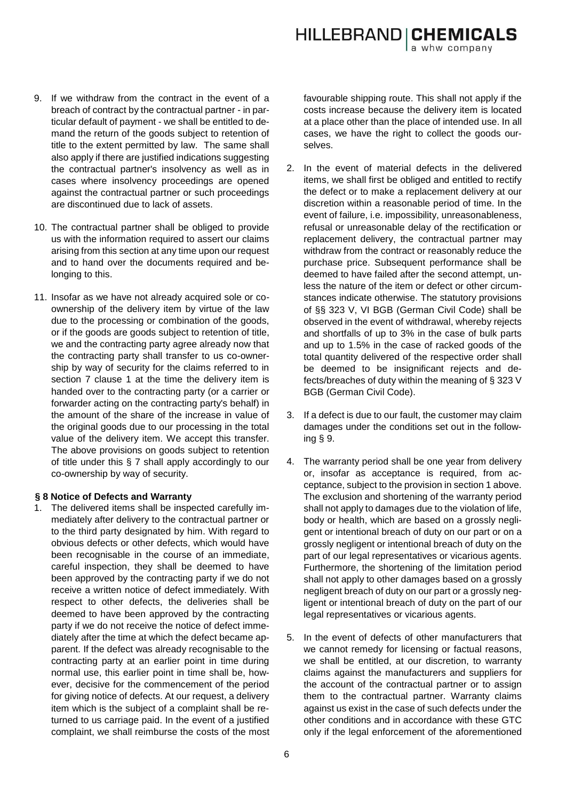- 9. If we withdraw from the contract in the event of a breach of contract by the contractual partner - in particular default of payment - we shall be entitled to demand the return of the goods subject to retention of title to the extent permitted by law. The same shall also apply if there are justified indications suggesting the contractual partner's insolvency as well as in cases where insolvency proceedings are opened against the contractual partner or such proceedings are discontinued due to lack of assets.
- 10. The contractual partner shall be obliged to provide us with the information required to assert our claims arising from this section at any time upon our request and to hand over the documents required and belonging to this.
- 11. Insofar as we have not already acquired sole or coownership of the delivery item by virtue of the law due to the processing or combination of the goods, or if the goods are goods subject to retention of title, we and the contracting party agree already now that the contracting party shall transfer to us co-ownership by way of security for the claims referred to in section 7 clause 1 at the time the delivery item is handed over to the contracting party (or a carrier or forwarder acting on the contracting party's behalf) in the amount of the share of the increase in value of the original goods due to our processing in the total value of the delivery item. We accept this transfer. The above provisions on goods subject to retention of title under this § 7 shall apply accordingly to our co-ownership by way of security.

## **§ 8 Notice of Defects and Warranty**

1. The delivered items shall be inspected carefully immediately after delivery to the contractual partner or to the third party designated by him. With regard to obvious defects or other defects, which would have been recognisable in the course of an immediate, careful inspection, they shall be deemed to have been approved by the contracting party if we do not receive a written notice of defect immediately. With respect to other defects, the deliveries shall be deemed to have been approved by the contracting party if we do not receive the notice of defect immediately after the time at which the defect became apparent. If the defect was already recognisable to the contracting party at an earlier point in time during normal use, this earlier point in time shall be, however, decisive for the commencement of the period for giving notice of defects. At our request, a delivery item which is the subject of a complaint shall be returned to us carriage paid. In the event of a justified complaint, we shall reimburse the costs of the most

favourable shipping route. This shall not apply if the costs increase because the delivery item is located at a place other than the place of intended use. In all cases, we have the right to collect the goods ourselves.

- 2. In the event of material defects in the delivered items, we shall first be obliged and entitled to rectify the defect or to make a replacement delivery at our discretion within a reasonable period of time. In the event of failure, i.e. impossibility, unreasonableness, refusal or unreasonable delay of the rectification or replacement delivery, the contractual partner may withdraw from the contract or reasonably reduce the purchase price. Subsequent performance shall be deemed to have failed after the second attempt, unless the nature of the item or defect or other circumstances indicate otherwise. The statutory provisions of §§ 323 V, VI BGB (German Civil Code) shall be observed in the event of withdrawal, whereby rejects and shortfalls of up to 3% in the case of bulk parts and up to 1.5% in the case of racked goods of the total quantity delivered of the respective order shall be deemed to be insignificant rejects and defects/breaches of duty within the meaning of § 323 V BGB (German Civil Code).
- 3. If a defect is due to our fault, the customer may claim damages under the conditions set out in the following § 9.
- 4. The warranty period shall be one year from delivery or, insofar as acceptance is required, from acceptance, subject to the provision in section 1 above. The exclusion and shortening of the warranty period shall not apply to damages due to the violation of life, body or health, which are based on a grossly negligent or intentional breach of duty on our part or on a grossly negligent or intentional breach of duty on the part of our legal representatives or vicarious agents. Furthermore, the shortening of the limitation period shall not apply to other damages based on a grossly negligent breach of duty on our part or a grossly negligent or intentional breach of duty on the part of our legal representatives or vicarious agents.
- 5. In the event of defects of other manufacturers that we cannot remedy for licensing or factual reasons, we shall be entitled, at our discretion, to warranty claims against the manufacturers and suppliers for the account of the contractual partner or to assign them to the contractual partner. Warranty claims against us exist in the case of such defects under the other conditions and in accordance with these GTC only if the legal enforcement of the aforementioned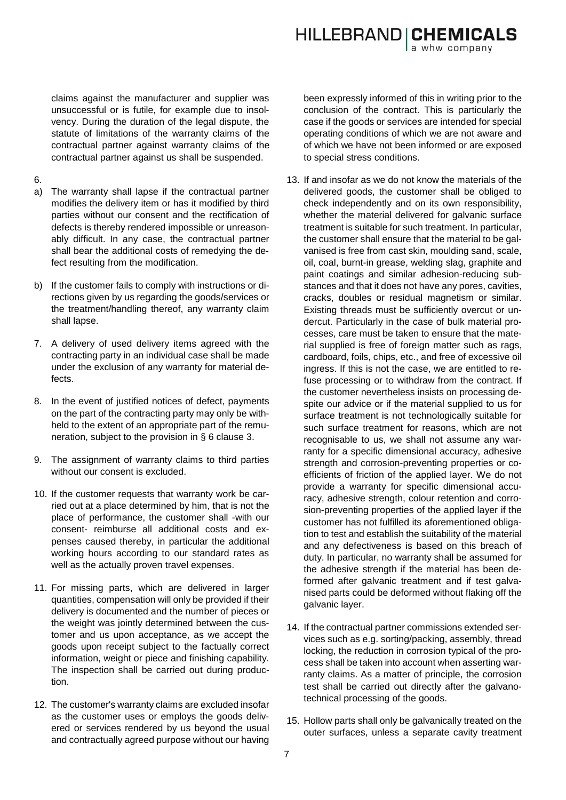**HILLEBRAND | CHEMICALS** 

claims against the manufacturer and supplier was unsuccessful or is futile, for example due to insolvency. During the duration of the legal dispute, the statute of limitations of the warranty claims of the contractual partner against warranty claims of the contractual partner against us shall be suspended.

- 6.
- a) The warranty shall lapse if the contractual partner modifies the delivery item or has it modified by third parties without our consent and the rectification of defects is thereby rendered impossible or unreasonably difficult. In any case, the contractual partner shall bear the additional costs of remedying the defect resulting from the modification.
- b) If the customer fails to comply with instructions or directions given by us regarding the goods/services or the treatment/handling thereof, any warranty claim shall lapse.
- 7. A delivery of used delivery items agreed with the contracting party in an individual case shall be made under the exclusion of any warranty for material defects.
- 8. In the event of justified notices of defect, payments on the part of the contracting party may only be withheld to the extent of an appropriate part of the remuneration, subject to the provision in § 6 clause 3.
- 9. The assignment of warranty claims to third parties without our consent is excluded.
- 10. If the customer requests that warranty work be carried out at a place determined by him, that is not the place of performance, the customer shall -with our consent- reimburse all additional costs and expenses caused thereby, in particular the additional working hours according to our standard rates as well as the actually proven travel expenses.
- 11. For missing parts, which are delivered in larger quantities, compensation will only be provided if their delivery is documented and the number of pieces or the weight was jointly determined between the customer and us upon acceptance, as we accept the goods upon receipt subject to the factually correct information, weight or piece and finishing capability. The inspection shall be carried out during production.
- 12. The customer's warranty claims are excluded insofar as the customer uses or employs the goods delivered or services rendered by us beyond the usual and contractually agreed purpose without our having

been expressly informed of this in writing prior to the conclusion of the contract. This is particularly the case if the goods or services are intended for special operating conditions of which we are not aware and of which we have not been informed or are exposed to special stress conditions.

- 13. If and insofar as we do not know the materials of the delivered goods, the customer shall be obliged to check independently and on its own responsibility, whether the material delivered for galvanic surface treatment is suitable for such treatment. In particular, the customer shall ensure that the material to be galvanised is free from cast skin, moulding sand, scale, oil, coal, burnt-in grease, welding slag, graphite and paint coatings and similar adhesion-reducing substances and that it does not have any pores, cavities, cracks, doubles or residual magnetism or similar. Existing threads must be sufficiently overcut or undercut. Particularly in the case of bulk material processes, care must be taken to ensure that the material supplied is free of foreign matter such as rags, cardboard, foils, chips, etc., and free of excessive oil ingress. If this is not the case, we are entitled to refuse processing or to withdraw from the contract. If the customer nevertheless insists on processing despite our advice or if the material supplied to us for surface treatment is not technologically suitable for such surface treatment for reasons, which are not recognisable to us, we shall not assume any warranty for a specific dimensional accuracy, adhesive strength and corrosion-preventing properties or coefficients of friction of the applied layer. We do not provide a warranty for specific dimensional accuracy, adhesive strength, colour retention and corrosion-preventing properties of the applied layer if the customer has not fulfilled its aforementioned obligation to test and establish the suitability of the material and any defectiveness is based on this breach of duty. In particular, no warranty shall be assumed for the adhesive strength if the material has been deformed after galvanic treatment and if test galvanised parts could be deformed without flaking off the galvanic layer.
- 14. If the contractual partner commissions extended services such as e.g. sorting/packing, assembly, thread locking, the reduction in corrosion typical of the process shall be taken into account when asserting warranty claims. As a matter of principle, the corrosion test shall be carried out directly after the galvanotechnical processing of the goods.
- 15. Hollow parts shall only be galvanically treated on the outer surfaces, unless a separate cavity treatment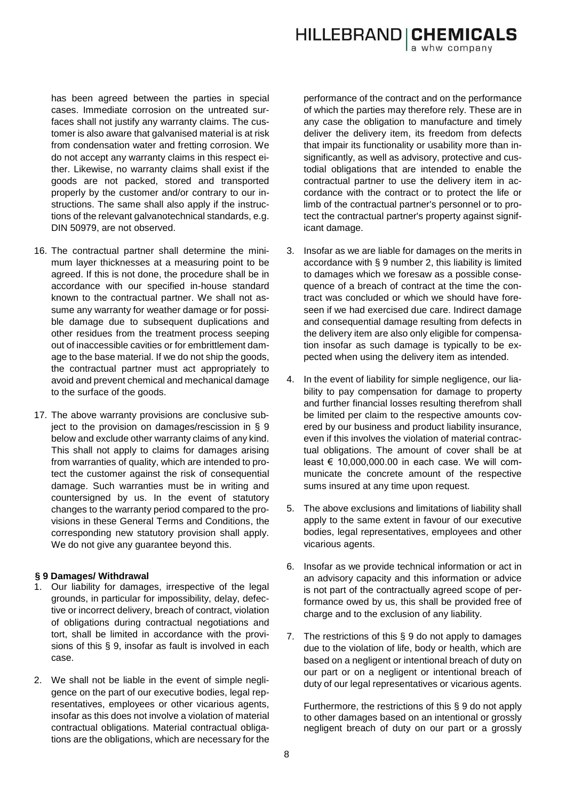**HILLEBRAND | CHEMICALS** a whw company

has been agreed between the parties in special cases. Immediate corrosion on the untreated surfaces shall not justify any warranty claims. The customer is also aware that galvanised material is at risk from condensation water and fretting corrosion. We do not accept any warranty claims in this respect either. Likewise, no warranty claims shall exist if the goods are not packed, stored and transported properly by the customer and/or contrary to our instructions. The same shall also apply if the instructions of the relevant galvanotechnical standards, e.g. DIN 50979, are not observed.

- 16. The contractual partner shall determine the minimum layer thicknesses at a measuring point to be agreed. If this is not done, the procedure shall be in accordance with our specified in-house standard known to the contractual partner. We shall not assume any warranty for weather damage or for possible damage due to subsequent duplications and other residues from the treatment process seeping out of inaccessible cavities or for embrittlement damage to the base material. If we do not ship the goods, the contractual partner must act appropriately to avoid and prevent chemical and mechanical damage to the surface of the goods.
- 17. The above warranty provisions are conclusive subject to the provision on damages/rescission in § 9 below and exclude other warranty claims of any kind. This shall not apply to claims for damages arising from warranties of quality, which are intended to protect the customer against the risk of consequential damage. Such warranties must be in writing and countersigned by us. In the event of statutory changes to the warranty period compared to the provisions in these General Terms and Conditions, the corresponding new statutory provision shall apply. We do not give any guarantee beyond this.

### **§ 9 Damages/ Withdrawal**

- 1. Our liability for damages, irrespective of the legal grounds, in particular for impossibility, delay, defective or incorrect delivery, breach of contract, violation of obligations during contractual negotiations and tort, shall be limited in accordance with the provisions of this § 9, insofar as fault is involved in each case.
- 2. We shall not be liable in the event of simple negligence on the part of our executive bodies, legal representatives, employees or other vicarious agents, insofar as this does not involve a violation of material contractual obligations. Material contractual obligations are the obligations, which are necessary for the

performance of the contract and on the performance of which the parties may therefore rely. These are in any case the obligation to manufacture and timely deliver the delivery item, its freedom from defects that impair its functionality or usability more than insignificantly, as well as advisory, protective and custodial obligations that are intended to enable the contractual partner to use the delivery item in accordance with the contract or to protect the life or limb of the contractual partner's personnel or to protect the contractual partner's property against significant damage.

- 3. Insofar as we are liable for damages on the merits in accordance with § 9 number 2, this liability is limited to damages which we foresaw as a possible consequence of a breach of contract at the time the contract was concluded or which we should have foreseen if we had exercised due care. Indirect damage and consequential damage resulting from defects in the delivery item are also only eligible for compensation insofar as such damage is typically to be expected when using the delivery item as intended.
- 4. In the event of liability for simple negligence, our liability to pay compensation for damage to property and further financial losses resulting therefrom shall be limited per claim to the respective amounts covered by our business and product liability insurance, even if this involves the violation of material contractual obligations. The amount of cover shall be at least  $\epsilon$  10,000,000.00 in each case. We will communicate the concrete amount of the respective sums insured at any time upon request.
- 5. The above exclusions and limitations of liability shall apply to the same extent in favour of our executive bodies, legal representatives, employees and other vicarious agents.
- 6. Insofar as we provide technical information or act in an advisory capacity and this information or advice is not part of the contractually agreed scope of performance owed by us, this shall be provided free of charge and to the exclusion of any liability.
- 7. The restrictions of this § 9 do not apply to damages due to the violation of life, body or health, which are based on a negligent or intentional breach of duty on our part or on a negligent or intentional breach of duty of our legal representatives or vicarious agents.

Furthermore, the restrictions of this § 9 do not apply to other damages based on an intentional or grossly negligent breach of duty on our part or a grossly